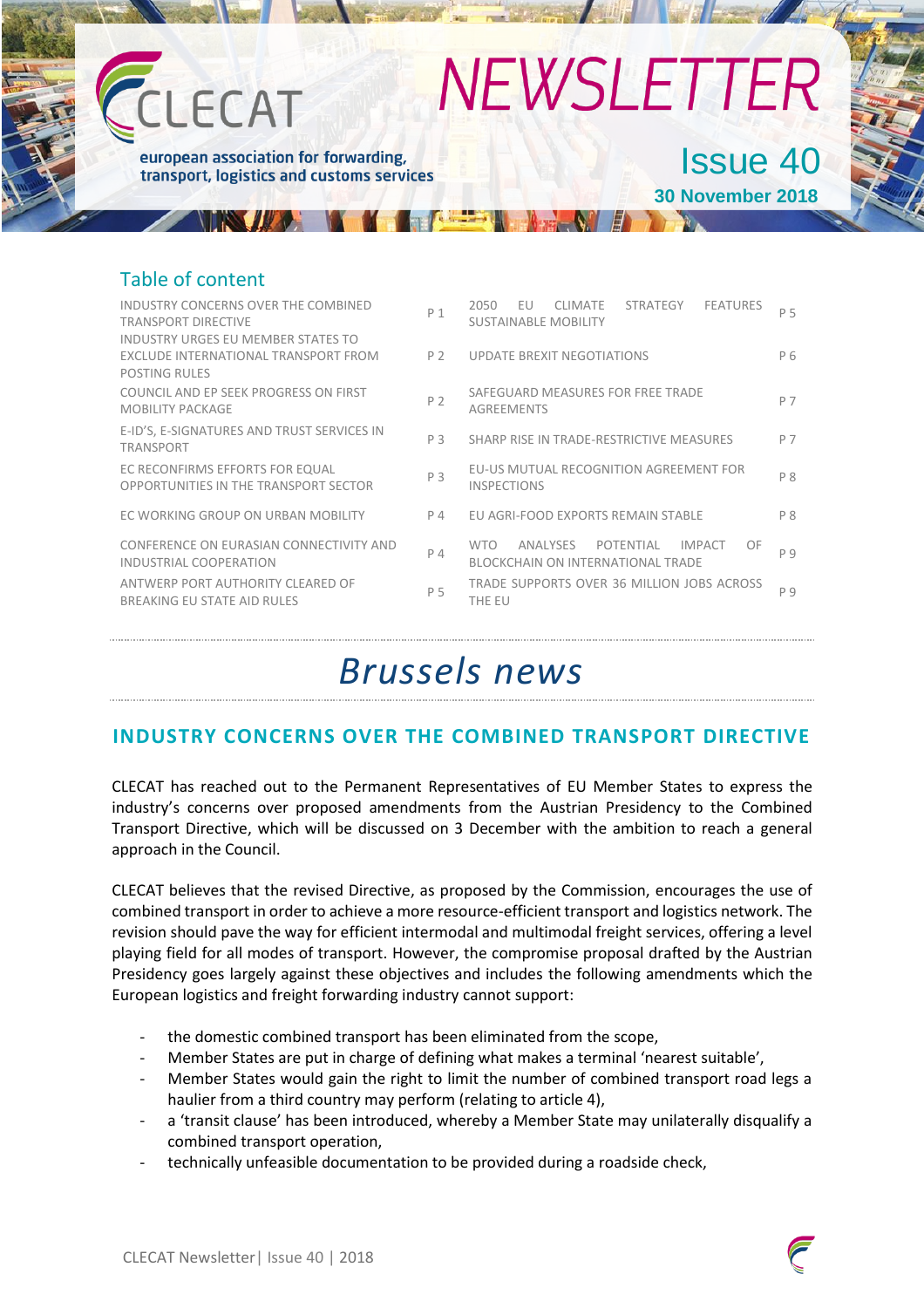

### Table of content

| INDUSTRY CONCERNS OVER THE COMBINED<br><b>TRANSPORT DIRECTIVE</b><br>INDUSTRY URGES EU MEMBER STATES TO | P <sub>1</sub> | 2050<br>FU<br>STRATEGY<br><b>FEATURES</b><br><b>CLIMATE</b><br><b>SUSTAINABLE MOBILITY</b>      | P 5            |
|---------------------------------------------------------------------------------------------------------|----------------|-------------------------------------------------------------------------------------------------|----------------|
| EXCLUDE INTERNATIONAL TRANSPORT FROM<br><b>POSTING RULES</b>                                            | P <sub>2</sub> | <b>UPDATE BREXIT NEGOTIATIONS</b>                                                               | P <sub>6</sub> |
| COUNCIL AND EP SEEK PROGRESS ON FIRST<br><b>MOBILITY PACKAGE</b>                                        | P <sub>2</sub> | SAFEGUARD MEASURES FOR FREE TRADE<br><b>AGREEMENTS</b>                                          | P 7            |
| E-ID'S, E-SIGNATURES AND TRUST SERVICES IN<br><b>TRANSPORT</b>                                          | P <sub>3</sub> | SHARP RISE IN TRADE-RESTRICTIVE MEASURES                                                        | P 7            |
| EC RECONFIRMS EFFORTS FOR EQUAL<br>OPPORTUNITIES IN THE TRANSPORT SECTOR                                | P 3            | EU-US MUTUAL RECOGNITION AGREEMENT FOR<br><b>INSPECTIONS</b>                                    | P 8            |
| EC WORKING GROUP ON URBAN MOBILITY                                                                      | P 4            | EU AGRI-FOOD EXPORTS REMAIN STABLE                                                              | P <sub>8</sub> |
| CONFERENCE ON EURASIAN CONNECTIVITY AND<br>INDUSTRIAL COOPERATION                                       | $P_4$          | <b>IMPACT</b><br>OF<br><b>WTO</b><br>ANALYSES<br>POTENTIAL<br>BLOCKCHAIN ON INTERNATIONAL TRADE | P 9            |
| ANTWERP PORT AUTHORITY CLEARED OF<br>BREAKING EU STATE AID RULES                                        | P 5            | TRADE SUPPORTS OVER 36 MILLION JOBS ACROSS<br>THE EU                                            | P 9            |

# *Brussels news*

### **INDUSTRY CONCERNS OVER THE COMBINED TRANSPORT DIRECTIVE**

CLECAT has reached out to the Permanent Representatives of EU Member States to express the industry's concerns over proposed amendments from the Austrian Presidency to the Combined Transport Directive, which will be discussed on 3 December with the ambition to reach a general approach in the Council.

CLECAT believes that the revised Directive, as proposed by the Commission, encourages the use of combined transport in order to achieve a more resource-efficient transport and logistics network. The revision should pave the way for efficient intermodal and multimodal freight services, offering a level playing field for all modes of transport. However, the compromise proposal drafted by the Austrian Presidency goes largely against these objectives and includes the following amendments which the European logistics and freight forwarding industry cannot support:

- the domestic combined transport has been eliminated from the scope,
- Member States are put in charge of defining what makes a terminal 'nearest suitable',
- Member States would gain the right to limit the number of combined transport road legs a haulier from a third country may perform (relating to article 4),
- a 'transit clause' has been introduced, whereby a Member State may unilaterally disqualify a combined transport operation,
- technically unfeasible documentation to be provided during a roadside check,

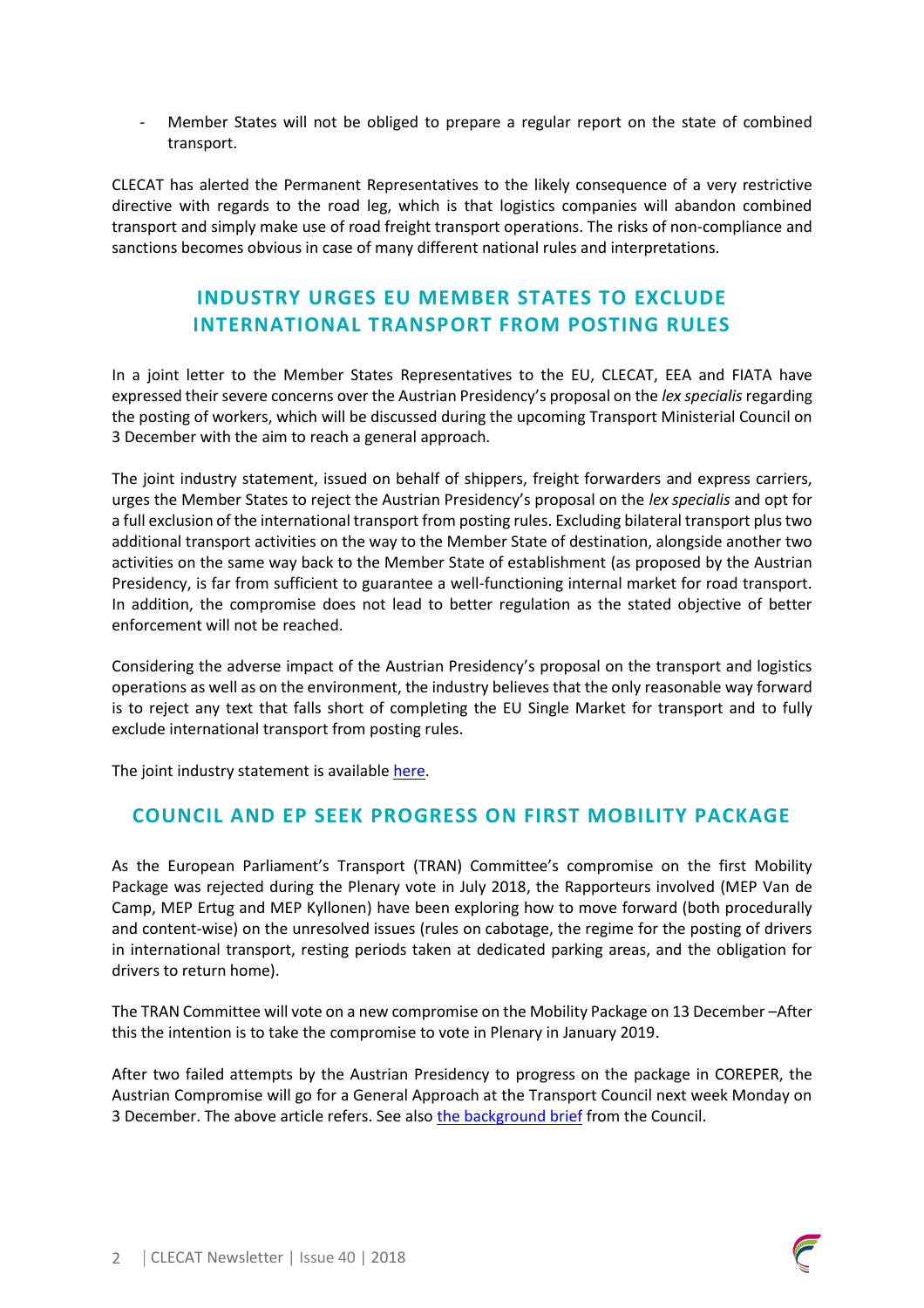- Member States will not be obliged to prepare a regular report on the state of combined transport.

CLECAT has alerted the Permanent Representatives to the likely consequence of a very restrictive directive with regards to the road leg, which is that logistics companies will abandon combined transport and simply make use of road freight transport operations. The risks of non-compliance and sanctions becomes obvious in case of many different national rules and interpretations.

## **INDUSTRY URGES EU MEMBER STATES TO EXCLUDE INTERNATIONAL TRANSPORT FROM POSTING RULES**

In a joint letter to the Member States Representatives to the EU, CLECAT, EEA and FIATA have expressed their severe concerns over the Austrian Presidency's proposal on the *lex specialis* regarding the posting of workers, which will be discussed during the upcoming Transport Ministerial Council on 3 December with the aim to reach a general approach.

The joint industry statement, issued on behalf of shippers, freight forwarders and express carriers, urges the Member States to reject the Austrian Presidency's proposal on the *lex specialis* and opt for a full exclusion of the international transport from posting rules. Excluding bilateral transport plus two additional transport activities on the way to the Member State of destination, alongside another two activities on the same way back to the Member State of establishment (as proposed by the Austrian Presidency, is far from sufficient to guarantee a well-functioning internal market for road transport. In addition, the compromise does not lead to better regulation as the stated objective of better enforcement will not be reached.

Considering the adverse impact of the Austrian Presidency's proposal on the transport and logistics operations as well as on the environment, the industry believes that the only reasonable way forward is to reject any text that falls short of completing the EU Single Market for transport and to fully exclude international transport from posting rules.

The joint industry statement is available [here.](https://www.clecat.org/media/Joint%20Statement%20-%20CLECAT_EEA_FIATA%20-%20lex%20specialis.pdf)

### **COUNCIL AND EP SEEK PROGRESS ON FIRST MOBILITY PACKAGE**

As the European Parliament's Transport (TRAN) Committee's compromise on the first Mobility Package was rejected during the Plenary vote in July 2018, the Rapporteurs involved (MEP Van de Camp, MEP Ertug and MEP Kyllonen) have been exploring how to move forward (both procedurally and content-wise) on the unresolved issues (rules on cabotage, the regime for the posting of drivers in international transport, resting periods taken at dedicated parking areas, and the obligation for drivers to return home).

The TRAN Committee will vote on a new compromise on the Mobility Package on 13 December –After this the intention is to take the compromise to vote in Plenary in January 2019.

After two failed attempts by the Austrian Presidency to progress on the package in COREPER, the Austrian Compromise will go for a General Approach at the Transport Council next week Monday on 3 December. The above article refers. See also [the background brief](https://www.consilium.europa.eu/media/37185/background_transport-dec-en-2018.pdf) from the Council.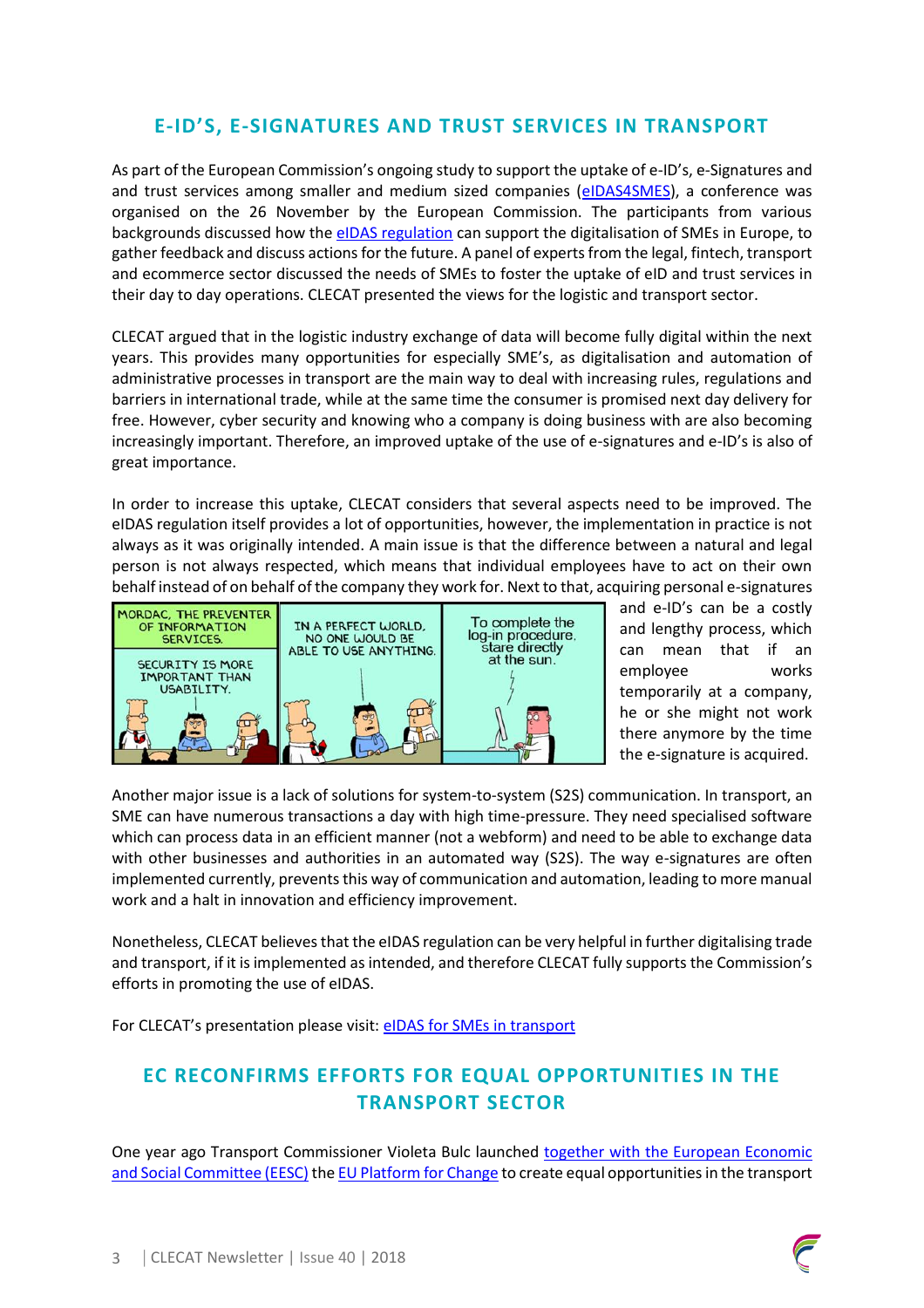# **E-ID'S, E-SIGNATURES AND TRUST SERVICES IN TRANSPORT**

As part of the European Commission's ongoing study to support the uptake of e-ID's, e-Signatures and and trust services among smaller and medium sized companies [\(eIDAS4SMES\)](https://ec.europa.eu/digital-single-market/en/eidas-smes), a conference was organised on the 26 November by the European Commission. The participants from various backgrounds discussed how th[e eIDAS regulation](https://ec.europa.eu/digital-single-market/en/discover-eidas) can support the digitalisation of SMEs in Europe, to gather feedback and discuss actions for the future. A panel of experts from the legal, fintech, transport and ecommerce sector discussed the needs of SMEs to foster the uptake of eID and trust services in their day to day operations. CLECAT presented the views for the logistic and transport sector.

CLECAT argued that in the logistic industry exchange of data will become fully digital within the next years. This provides many opportunities for especially SME's, as digitalisation and automation of administrative processes in transport are the main way to deal with increasing rules, regulations and barriers in international trade, while at the same time the consumer is promised next day delivery for free. However, cyber security and knowing who a company is doing business with are also becoming increasingly important. Therefore, an improved uptake of the use of e-signatures and e-ID's is also of great importance.

In order to increase this uptake, CLECAT considers that several aspects need to be improved. The eIDAS regulation itself provides a lot of opportunities, however, the implementation in practice is not always as it was originally intended. A main issue is that the difference between a natural and legal person is not always respected, which means that individual employees have to act on their own behalf instead of on behalf of the company they work for. Next to that, acquiring personal e-signatures



and e-ID's can be a costly and lengthy process, which can mean that if an employee works temporarily at a company, he or she might not work there anymore by the time the e-signature is acquired.

Another major issue is a lack of solutions for system-to-system (S2S) communication. In transport, an SME can have numerous transactions a day with high time-pressure. They need specialised software which can process data in an efficient manner (not a webform) and need to be able to exchange data with other businesses and authorities in an automated way (S2S). The way e-signatures are often implemented currently, prevents this way of communication and automation, leading to more manual work and a halt in innovation and efficiency improvement.

Nonetheless, CLECAT believes that the eIDAS regulation can be very helpful in further digitalising trade and transport, if it is implemented as intended, and therefore CLECAT fully supports the Commission's efforts in promoting the use of eIDAS.

For CLECAT's presentation please visit: [eIDAS for SMEs in transport](https://www.clecat.org/media/eIDAS%20conference%20-%20CLECAT%20-%20November%202018%20.pdf) 

## **EC RECONFIRMS EFFORTS FOR EQUAL OPPORTUNITIES IN THE TRANSPORT SECTOR**

One year ago Transport Commissioner Violeta Bulc launched together with the European Economic [and Social Committee \(EESC\)](https://ec.europa.eu/transport/themes/social/news/2017-11-27-commissioner-bulc-and-eesc-president-georges-dassis-launch-platform_en) th[e EU Platform for Change](https://ec.europa.eu/transport/themes/social/women-transport-eu-platform-change_en) to create equal opportunities in the transport

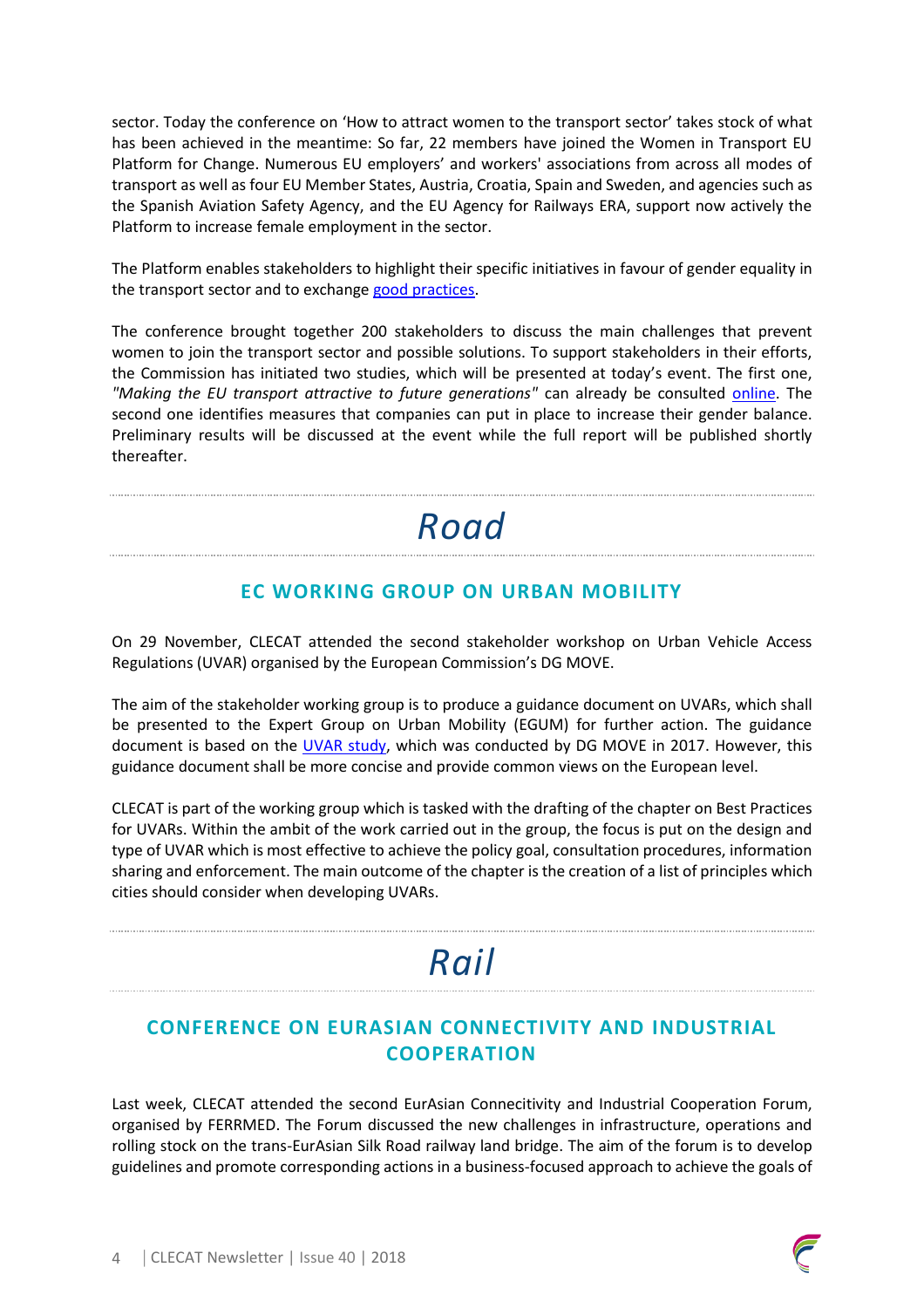sector. Today the conference on 'How to attract women to the transport sector' takes stock of what has been achieved in the meantime: So far, 22 members have joined the Women in Transport EU Platform for Change. Numerous EU employers' and workers' associations from across all modes of transport as well as four EU Member States, Austria, Croatia, Spain and Sweden, and agencies such as the Spanish Aviation Safety Agency, and the EU Agency for Railways ERA, support now actively the Platform to increase female employment in the sector.

The Platform enables stakeholders to highlight their specific initiatives in favour of gender equality in the transport sector and to exchange [good practices.](https://ec.europa.eu/transport/themes/social/women-transport-eu-platform-change_en)

The conference brought together 200 stakeholders to discuss the main challenges that prevent women to join the transport sector and possible solutions. To support stakeholders in their efforts, the Commission has initiated two studies, which will be presented at today's event. The first one, *"Making the EU transport attractive to future generations"* can already be consulted [online.](https://ec.europa.eu/transport/themes/social/studies/social_en) The second one identifies measures that companies can put in place to increase their gender balance. Preliminary results will be discussed at the event while the full report will be published shortly thereafter.

# *Road*

### **EC WORKING GROUP ON URBAN MOBILITY**

On 29 November, CLECAT attended the second stakeholder workshop on Urban Vehicle Access Regulations (UVAR) organised by the European Commission's DG MOVE.

The aim of the stakeholder working group is to produce a guidance document on UVARs, which shall be presented to the Expert Group on Urban Mobility (EGUM) for further action. The guidance document is based on the [UVAR study,](https://ec.europa.eu/transport/sites/transport/files/uvar_final_report_august_28.pdf) which was conducted by DG MOVE in 2017. However, this guidance document shall be more concise and provide common views on the European level.

CLECAT is part of the working group which is tasked with the drafting of the chapter on Best Practices for UVARs. Within the ambit of the work carried out in the group, the focus is put on the design and type of UVAR which is most effective to achieve the policy goal, consultation procedures, information sharing and enforcement. The main outcome of the chapter is the creation of a list of principles which cities should consider when developing UVARs.

# *Rail*

# **CONFERENCE ON EURASIAN CONNECTIVITY AND INDUSTRIAL COOPERATION**

Last week, CLECAT attended the second EurAsian Connecitivity and Industrial Cooperation Forum, organised by FERRMED. The Forum discussed the new challenges in infrastructure, operations and rolling stock on the trans-EurAsian Silk Road railway land bridge. The aim of the forum is to develop guidelines and promote corresponding actions in a business-focused approach to achieve the goals of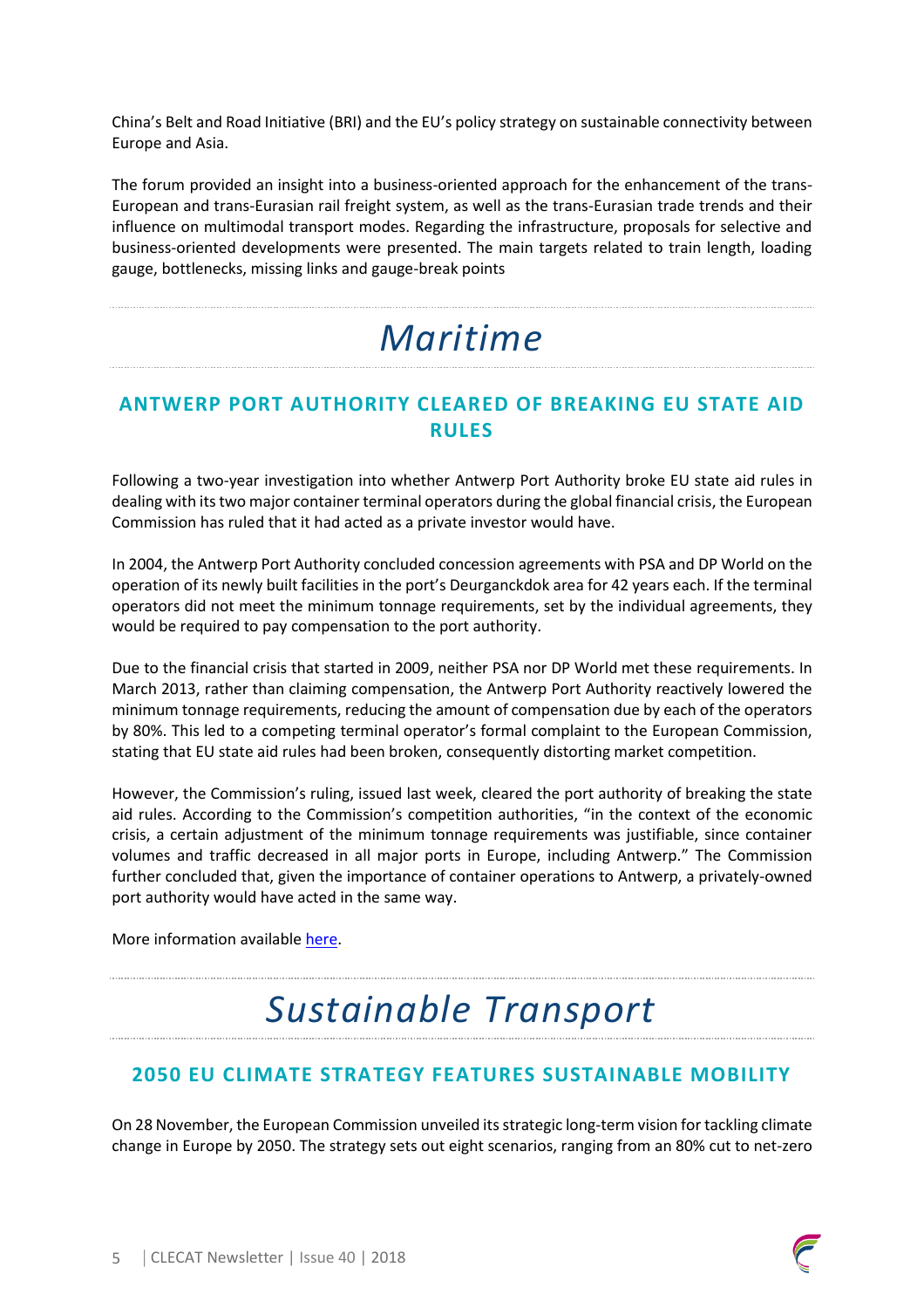China's Belt and Road Initiative (BRI) and the EU's policy strategy on sustainable connectivity between Europe and Asia.

The forum provided an insight into a business-oriented approach for the enhancement of the trans-European and trans-Eurasian rail freight system, as well as the trans-Eurasian trade trends and their influence on multimodal transport modes. Regarding the infrastructure, proposals for selective and business-oriented developments were presented. The main targets related to train length, loading gauge, bottlenecks, missing links and gauge-break points

# *Maritime*

## **ANTWERP PORT AUTHORITY CLEARED OF BREAKING EU STATE AID RULES**

Following a two-year investigation into whether Antwerp Port Authority broke EU state aid rules in dealing with its two major container terminal operators during the global financial crisis, the European Commission has ruled that it had acted as a private investor would have.

In 2004, the Antwerp Port Authority concluded concession agreements with PSA and DP World on the operation of its newly built facilities in the port's Deurganckdok area for 42 years each. If the terminal operators did not meet the minimum tonnage requirements, set by the individual agreements, they would be required to pay compensation to the port authority.

Due to the financial crisis that started in 2009, neither PSA nor DP World met these requirements. In March 2013, rather than claiming compensation, the Antwerp Port Authority reactively lowered the minimum tonnage requirements, reducing the amount of compensation due by each of the operators by 80%. This led to a competing terminal operator's formal complaint to the European Commission, stating that EU state aid rules had been broken, consequently distorting market competition.

However, the Commission's ruling, issued last week, cleared the port authority of breaking the state aid rules. According to the Commission's competition authorities, "in the context of the economic crisis, a certain adjustment of the minimum tonnage requirements was justifiable, since container volumes and traffic decreased in all major ports in Europe, including Antwerp." The Commission further concluded that, given the importance of container operations to Antwerp, a privately-owned port authority would have acted in the same way.

More information availabl[e here.](https://theloadstar.co.uk/two-year-probe-clears-port-antwerp-breaking-eu-state-aid-rules/)

# *Sustainable Transport*

# **2050 EU CLIMATE STRATEGY FEATURES SUSTAINABLE MOBILITY**

On 28 November, the European Commission unveiled its strategic long-term vision for tackling climate change in Europe by 2050. The strategy sets out eight scenarios, ranging from an 80% cut to net-zero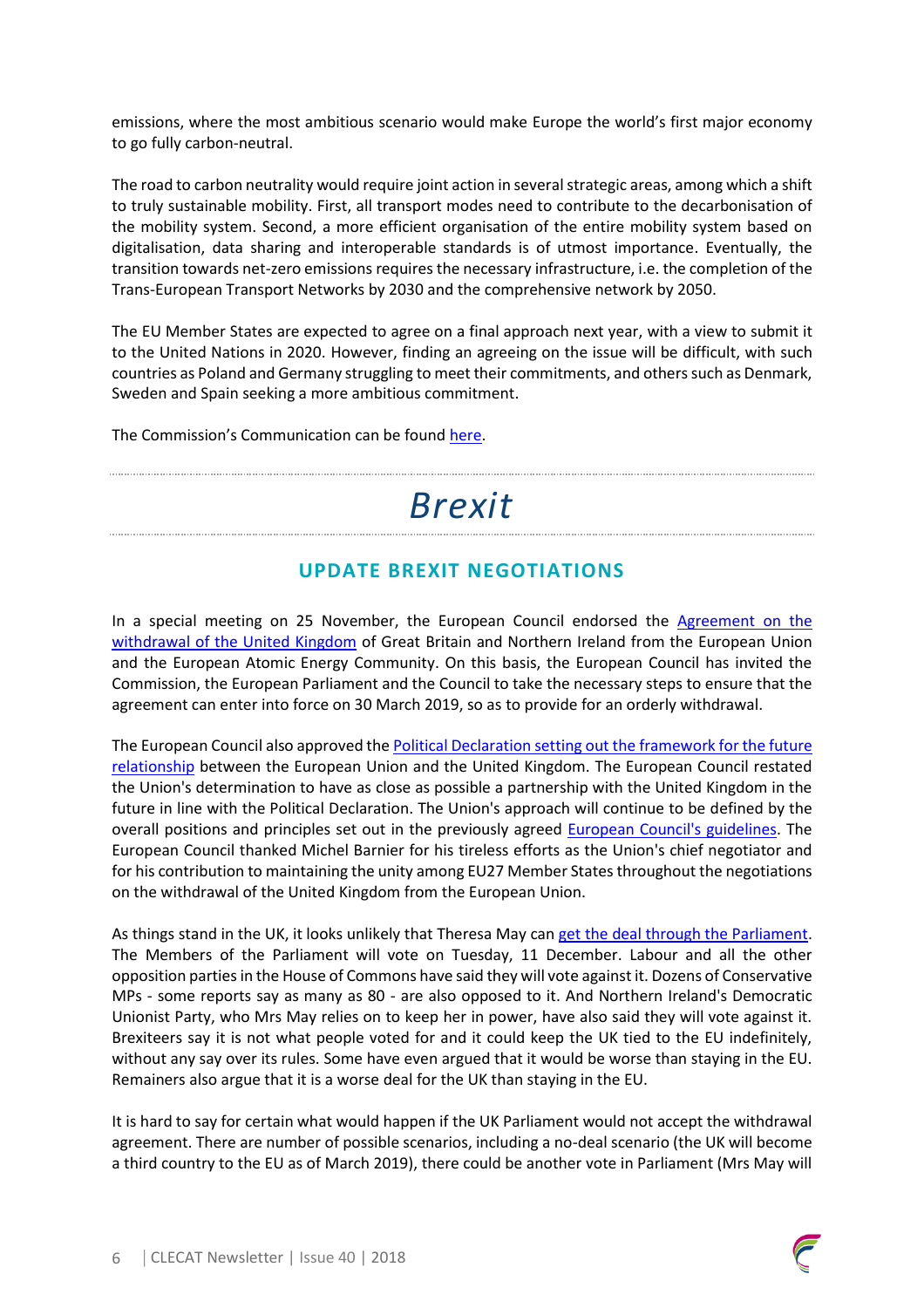emissions, where the most ambitious scenario would make Europe the world's first major economy to go fully carbon-neutral.

The road to carbon neutrality would require joint action in severalstrategic areas, among which a shift to truly sustainable mobility. First, all transport modes need to contribute to the decarbonisation of the mobility system. Second, a more efficient organisation of the entire mobility system based on digitalisation, data sharing and interoperable standards is of utmost importance. Eventually, the transition towards net-zero emissions requires the necessary infrastructure, i.e. the completion of the Trans-European Transport Networks by 2030 and the comprehensive network by 2050.

The EU Member States are expected to agree on a final approach next year, with a view to submit it to the United Nations in 2020. However, finding an agreeing on the issue will be difficult, with such countries as Poland and Germany struggling to meet their commitments, and others such as Denmark, Sweden and Spain seeking a more ambitious commitment.

The Commission's Communication can be found [here.](https://ec.europa.eu/clima/sites/clima/files/docs/pages/com_2018_733_en.pdf)

# *Brexit*

### **UPDATE BREXIT NEGOTIATIONS**

In a special meeting on 25 November, the European Council endorsed the [Agreement on the](https://www.consilium.europa.eu/media/37099/draft_withdrawal_agreement_incl_art132.pdf)  [withdrawal of the United Kingdom](https://www.consilium.europa.eu/media/37099/draft_withdrawal_agreement_incl_art132.pdf) of Great Britain and Northern Ireland from the European Union and the European Atomic Energy Community. On this basis, the European Council has invited the Commission, the European Parliament and the Council to take the necessary steps to ensure that the agreement can enter into force on 30 March 2019, so as to provide for an orderly withdrawal.

The European Council also approved the Political Declaration setting out the framework for the future [relationship](http://data.consilium.europa.eu/doc/document/XT-21095-2018-INIT/en/pdf) between the European Union and the United Kingdom. The European Council restated the Union's determination to have as close as possible a partnership with the United Kingdom in the future in line with the Political Declaration. The Union's approach will continue to be defined by the overall positions and principles set out in the previously agreed [European Council's guidelines.](https://www.consilium.europa.eu/media/33458/23-euco-art50-guidelines.pdf) The European Council thanked Michel Barnier for his tireless efforts as the Union's chief negotiator and for his contribution to maintaining the unity among EU27 Member States throughout the negotiations on the withdrawal of the United Kingdom from the European Union.

As things stand in the UK, it looks unlikely that Theresa May ca[n get the deal through the Parliament.](https://www.parliament.uk/business/committees/committees-a-z/commons-select/exiting-the-european-union-committee/news-parliament-2017/withdrawal-agreement-evidence-17-19/) The Members of the Parliament will vote on Tuesday, 11 December. Labour and all the other opposition parties in the House of Commons have said they will vote against it. Dozens of Conservative MPs - some reports say as many as 80 - are also opposed to it. And Northern Ireland's Democratic Unionist Party, who Mrs May relies on to keep her in power, have also said they will vote against it. Brexiteers say it is not what people voted for and it could keep the UK tied to the EU indefinitely, without any say over its rules. Some have even argued that it would be worse than staying in the EU. Remainers also argue that it is a worse deal for the UK than staying in the EU.

It is hard to say for certain what would happen if the UK Parliament would not accept the withdrawal agreement. There are number of possible scenarios, including a no-deal scenario (the UK will become a third country to the EU as of March 2019), there could be another vote in Parliament (Mrs May will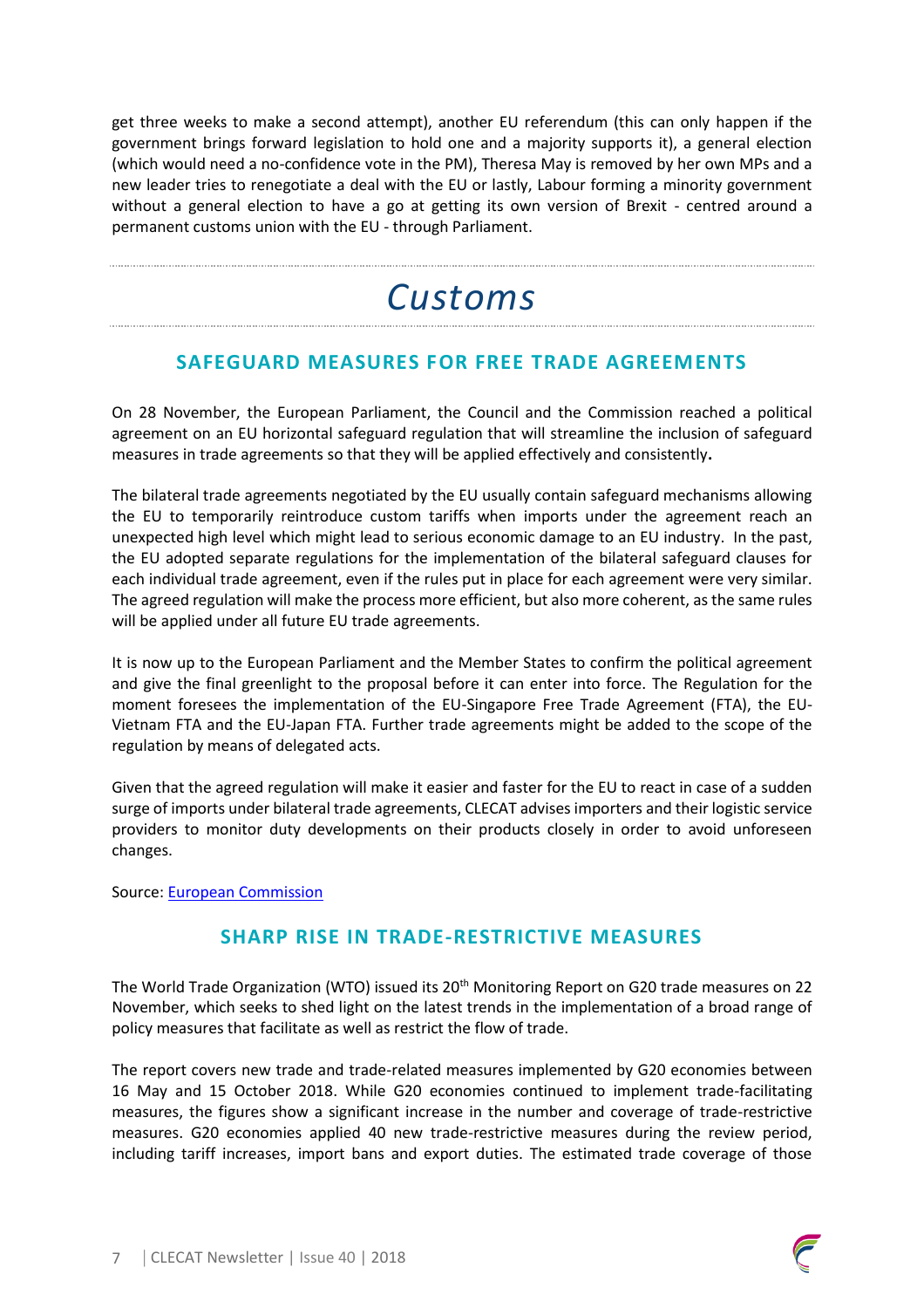get three weeks to make a second attempt), another EU referendum (this can only happen if the government brings forward legislation to hold one and a majority supports it), a general election (which would need a no-confidence vote in the PM), Theresa May is removed by her own MPs and a new leader tries to renegotiate a deal with the EU or lastly, Labour forming a minority government without a general election to have a go at getting its own version of Brexit - centred around a permanent customs union with the EU - through Parliament.

# *Customs*

## **SAFEGUARD MEASURES FOR FREE TRADE AGREEMENTS**

On 28 November, the European Parliament, the Council and the Commission reached a political agreement on an EU horizontal safeguard regulation that will streamline the inclusion of safeguard measures in trade agreements so that they will be applied effectively and consistently**.**

The bilateral trade agreements negotiated by the EU usually contain safeguard mechanisms allowing the EU to temporarily reintroduce custom tariffs when imports under the agreement reach an unexpected high level which might lead to serious economic damage to an EU industry. In the past, the EU adopted separate regulations for the implementation of the bilateral safeguard clauses for each individual trade agreement, even if the rules put in place for each agreement were very similar. The agreed regulation will make the process more efficient, but also more coherent, as the same rules will be applied under all future EU trade agreements.

It is now up to the European Parliament and the Member States to confirm the political agreement and give the final greenlight to the proposal before it can enter into force. The Regulation for the moment foresees the implementation of the EU-Singapore Free Trade Agreement (FTA), the EU-Vietnam FTA and the EU-Japan FTA. Further trade agreements might be added to the scope of the regulation by means of delegated acts.

Given that the agreed regulation will make it easier and faster for the EU to react in case of a sudden surge of imports under bilateral trade agreements, CLECAT advises importers and their logistic service providers to monitor duty developments on their products closely in order to avoid unforeseen changes.

Source: [European Commission](http://trade.ec.europa.eu/doclib/press/index.cfm?id=1948)

### **SHARP RISE IN TRADE-RESTRICTIVE MEASURES**

The World Trade Organization (WTO) issued its 20<sup>th</sup> Monitoring Report on G20 trade measures on 22 November, which seeks to shed light on the latest trends in the implementation of a broad range of policy measures that facilitate as well as restrict the flow of trade.

The report covers new trade and trade-related measures implemented by G20 economies between 16 May and 15 October 2018. While G20 economies continued to implement trade-facilitating measures, the figures show a significant increase in the number and coverage of trade-restrictive measures. G20 economies applied 40 new trade-restrictive measures during the review period, including tariff increases, import bans and export duties. The estimated trade coverage of those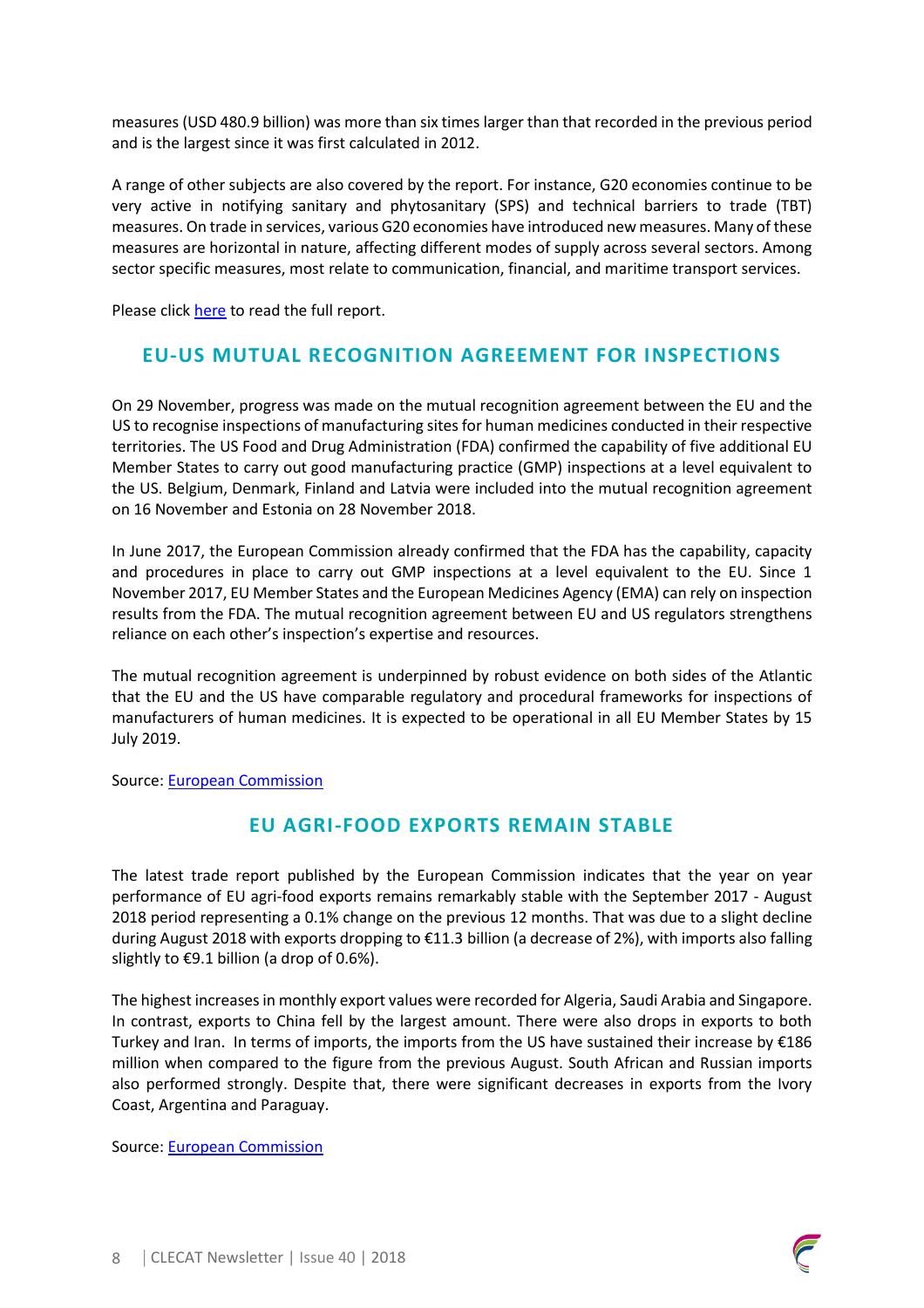measures (USD 480.9 billion) was more than six times larger than that recorded in the previous period and is the largest since it was first calculated in 2012.

A range of other subjects are also covered by the report. For instance, G20 economies continue to be very active in notifying sanitary and phytosanitary (SPS) and technical barriers to trade (TBT) measures. On trade in services, various G20 economies have introduced new measures. Many of these measures are horizontal in nature, affecting different modes of supply across several sectors. Among sector specific measures, most relate to communication, financial, and maritime transport services.

Please click [here](https://www.wto.org/english/news_e/news18_e/g20_wto_report_november18_e.pdf) to read the full report.

#### **EU-US MUTUAL RECOGNITION AGREEMENT FOR INSPECTIONS**

On 29 November, progress was made on the mutual recognition agreement between the EU and the US to recognise inspections of manufacturing sites for human medicines conducted in their respective territories. The US Food and Drug Administration (FDA) confirmed the capability of five additional EU Member States to carry out good manufacturing practice (GMP) inspections at a level equivalent to the US. Belgium, Denmark, Finland and Latvia were included into the mutual recognition agreement on 16 November and Estonia on 28 November 2018.

In June 2017, the European Commission already confirmed that the FDA has the capability, capacity and procedures in place to carry out GMP inspections at a level equivalent to the EU. Since 1 November 2017, EU Member States and the European Medicines Agency (EMA) can rely on inspection results from the FDA. The mutual recognition agreement between EU and US regulators strengthens reliance on each other's inspection's expertise and resources.

The mutual recognition agreement is underpinned by robust evidence on both sides of the Atlantic that the EU and the US have comparable regulatory and procedural frameworks for inspections of manufacturers of human medicines. It is expected to be operational in all EU Member States by 15 July 2019.

Source: [European Commission](https://ec.europa.eu/newsroom/sante/newsletter-specific-archive-issue.cfm?archtype=specific&newsletter_service_id=327&newsletter_issue_id=11972&page=1&fullDate=Thu%2029%20Nov%202018&lang=default)

### **EU AGRI-FOOD EXPORTS REMAIN STABLE**

The latest trade report published by the European Commission indicates that the year on year performance of EU agri-food exports remains remarkably stable with the September 2017 - August 2018 period representing a 0.1% change on the previous 12 months. That was due to a slight decline during August 2018 with exports dropping to €11.3 billion (a decrease of 2%), with imports also falling slightly to  $\epsilon$ 9.1 billion (a drop of 0.6%).

The highest increases in monthly export values were recorded for Algeria, Saudi Arabia and Singapore. In contrast, exports to China fell by the largest amount. There were also drops in exports to both Turkey and Iran. In terms of imports, the imports from the US have sustained their increase by €186 million when compared to the figure from the previous August. South African and Russian imports also performed strongly. Despite that, there were significant decreases in exports from the Ivory Coast, Argentina and Paraguay.

Source: [European Commission](https://ec.europa.eu/info/news/eu-agri-food-exports-remain-stable-2018-oct-26_en)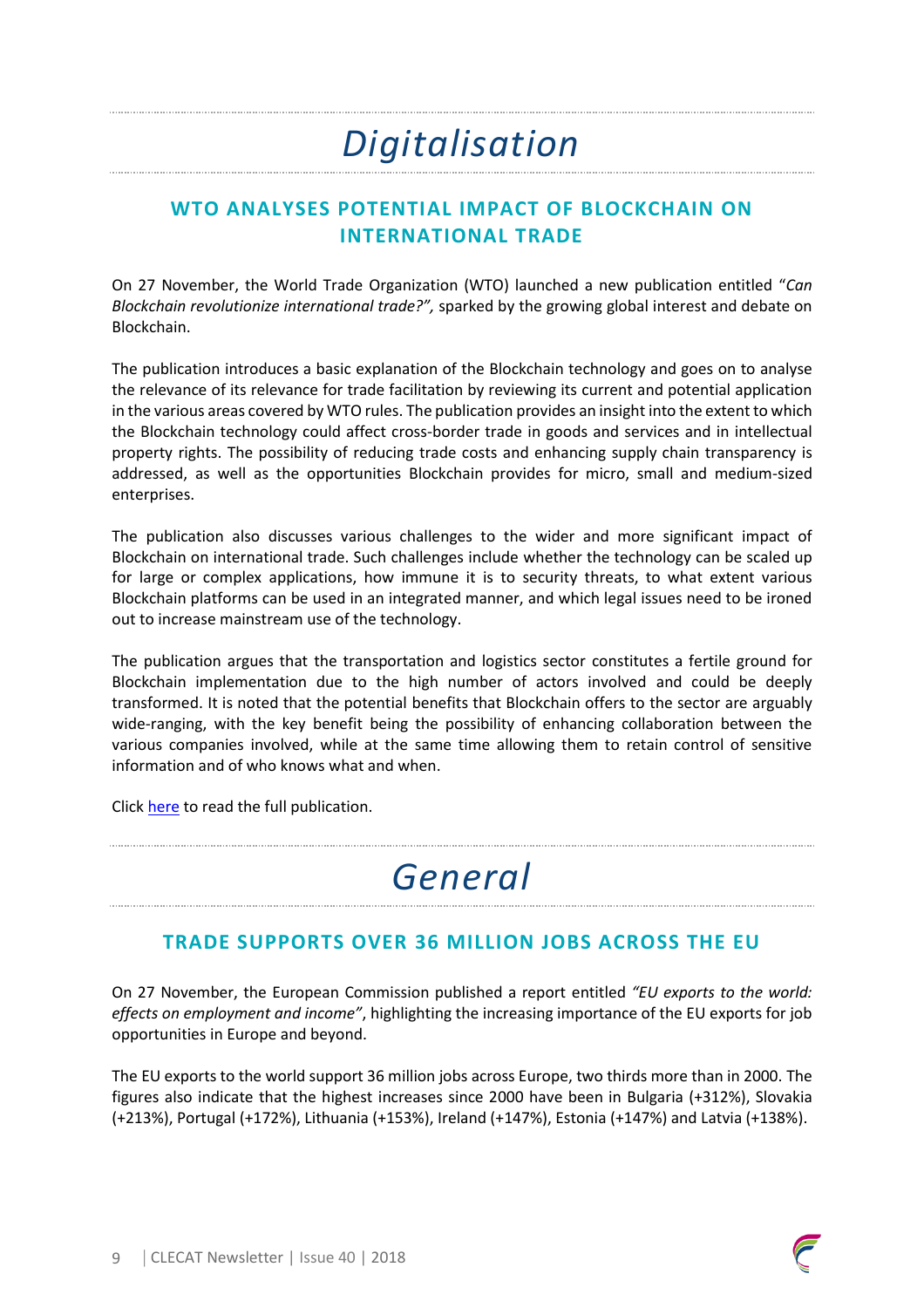# *Digitalisation*

## **WTO ANALYSES POTENTIAL IMPACT OF BLOCKCHAIN ON INTERNATIONAL TRADE**

On 27 November, the World Trade Organization (WTO) launched a new publication entitled "*Can Blockchain revolutionize international trade?",* sparked by the growing global interest and debate on Blockchain.

The publication introduces a basic explanation of the Blockchain technology and goes on to analyse the relevance of its relevance for trade facilitation by reviewing its current and potential application in the various areas covered by WTO rules. The publication provides an insight into the extent to which the Blockchain technology could affect cross-border trade in goods and services and in intellectual property rights. The possibility of reducing trade costs and enhancing supply chain transparency is addressed, as well as the opportunities Blockchain provides for micro, small and medium-sized enterprises.

The publication also discusses various challenges to the wider and more significant impact of Blockchain on international trade. Such challenges include whether the technology can be scaled up for large or complex applications, how immune it is to security threats, to what extent various Blockchain platforms can be used in an integrated manner, and which legal issues need to be ironed out to increase mainstream use of the technology.

The publication argues that the transportation and logistics sector constitutes a fertile ground for Blockchain implementation due to the high number of actors involved and could be deeply transformed. It is noted that the potential benefits that Blockchain offers to the sector are arguably wide-ranging, with the key benefit being the possibility of enhancing collaboration between the various companies involved, while at the same time allowing them to retain control of sensitive information and of who knows what and when.

Click [here](https://www.wto.org/english/res_e/publications_e/blockchainrev18_e.htm) to read the full publication.

# *General*

### **TRADE SUPPORTS OVER 36 MILLION JOBS ACROSS THE EU**

On 27 November, the European Commission published a report entitled *"EU exports to the world: effects on employment and income"*, highlighting the increasing importance of the EU exports for job opportunities in Europe and beyond.

The EU exports to the world support 36 million jobs across Europe, two thirds more than in 2000. The figures also indicate that the highest increases since 2000 have been in Bulgaria (+312%), Slovakia (+213%), Portugal (+172%), Lithuania (+153%), Ireland (+147%), Estonia (+147%) and Latvia (+138%).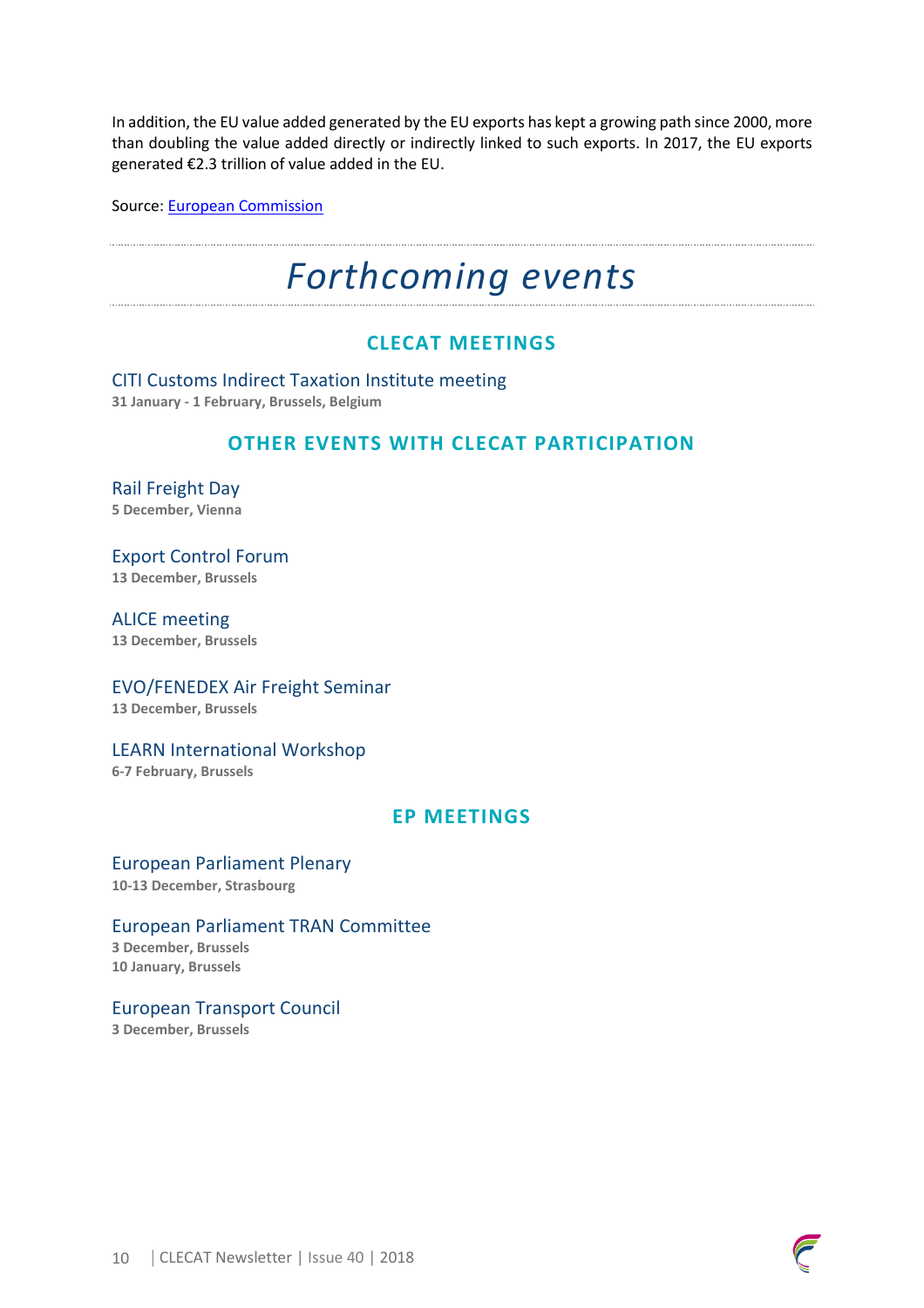In addition, the EU value added generated by the EU exports has kept a growing path since 2000, more than doubling the value added directly or indirectly linked to such exports. In 2017, the EU exports generated €2.3 trillion of value added in the EU.

Source: [European Commission](http://trade.ec.europa.eu/doclib/press/index.cfm?id=1946)

# *Forthcoming events*

### **CLECAT MEETINGS**

CITI Customs Indirect Taxation Institute meeting **31 January - 1 February, Brussels, Belgium**

#### **OTHER EVENTS WITH CLECAT PARTICIPATION**

Rail Freight Day **5 December, Vienna**

Export Control Forum **13 December, Brussels**

ALICE meeting **13 December, Brussels** 

EVO/FENEDEX Air Freight Seminar **13 December, Brussels** 

LEARN International Workshop **6-7 February, Brussels**

#### **EP MEETINGS**

European Parliament Plenary **10-13 December, Strasbourg**

#### European Parliament TRAN Committee

**3 December, Brussels 10 January, Brussels**

European Transport Council **3 December, Brussels**

10 | CLECAT Newsletter | Issue 40 | 2018